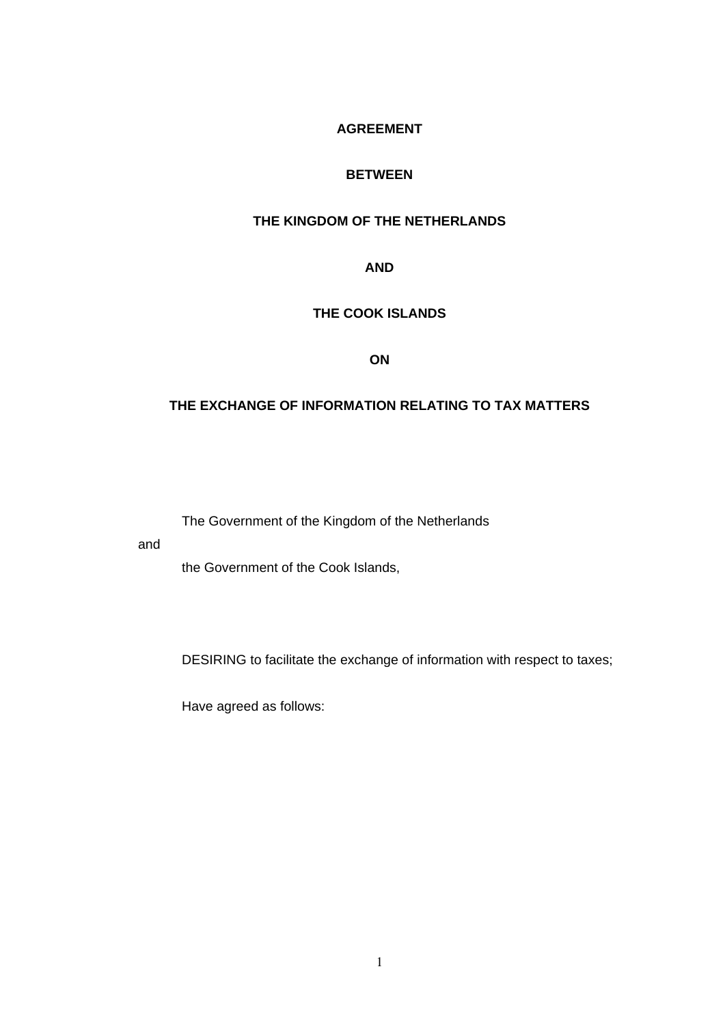## **AGREEMENT**

#### **BETWEEN**

## **THE KINGDOM OF THE NETHERLANDS**

#### **AND**

## **THE COOK ISLANDS**

#### **ON**

## **THE EXCHANGE OF INFORMATION RELATING TO TAX MATTERS**

The Government of the Kingdom of the Netherlands

and

the Government of the Cook Islands,

DESIRING to facilitate the exchange of information with respect to taxes;

Have agreed as follows: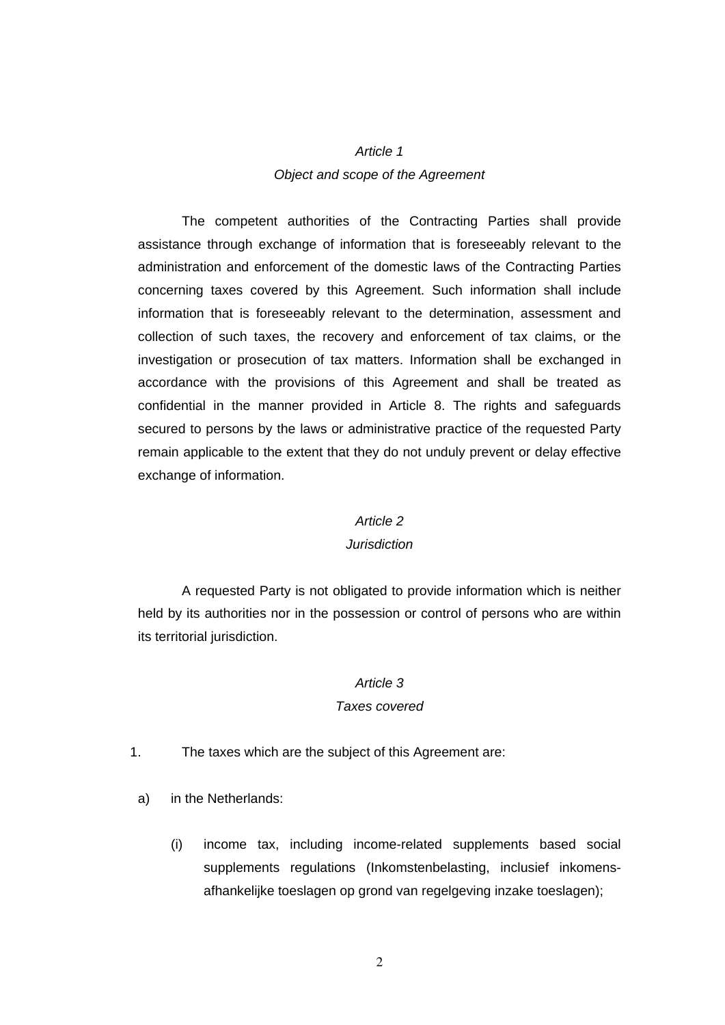## *Article 1 Object and scope of the Agreement*

The competent authorities of the Contracting Parties shall provide assistance through exchange of information that is foreseeably relevant to the administration and enforcement of the domestic laws of the Contracting Parties concerning taxes covered by this Agreement. Such information shall include information that is foreseeably relevant to the determination, assessment and collection of such taxes, the recovery and enforcement of tax claims, or the investigation or prosecution of tax matters. Information shall be exchanged in accordance with the provisions of this Agreement and shall be treated as confidential in the manner provided in Article 8. The rights and safeguards secured to persons by the laws or administrative practice of the requested Party remain applicable to the extent that they do not unduly prevent or delay effective exchange of information.

#### *Article 2*

#### *Jurisdiction*

A requested Party is not obligated to provide information which is neither held by its authorities nor in the possession or control of persons who are within its territorial jurisdiction.

#### *Article 3*

#### *Taxes covered*

- 1. The taxes which are the subject of this Agreement are:
- a) in the Netherlands:
	- (i) income tax, including income-related supplements based social supplements regulations (Inkomstenbelasting, inclusief inkomensafhankelijke toeslagen op grond van regelgeving inzake toeslagen);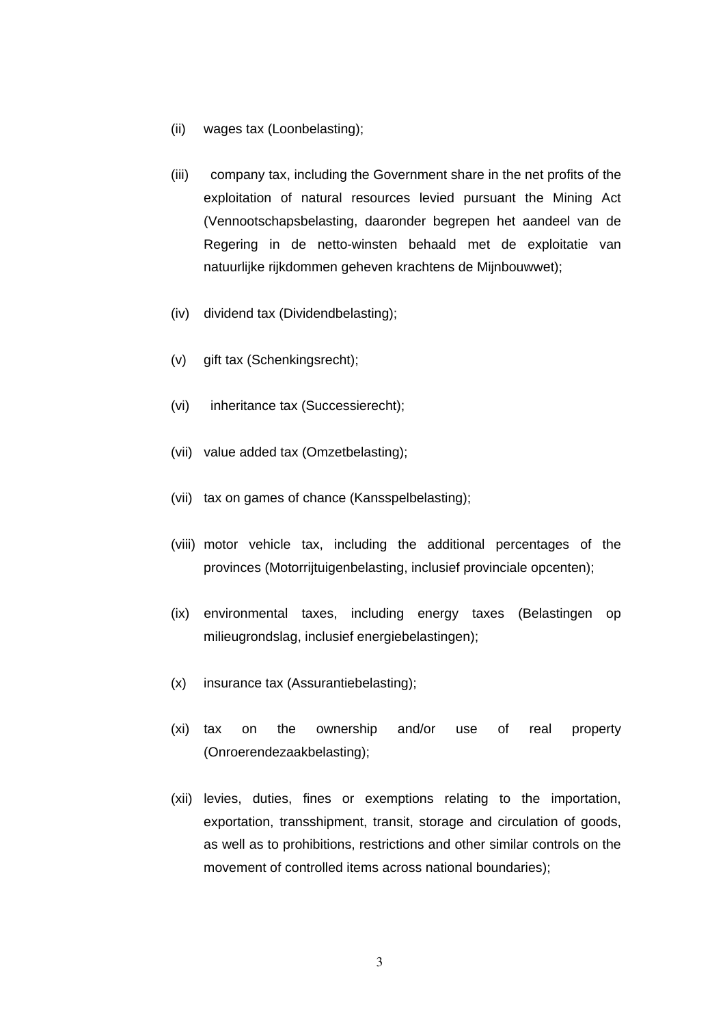- (ii) wages tax (Loonbelasting);
- (iii) company tax, including the Government share in the net profits of the exploitation of natural resources levied pursuant the Mining Act (Vennootschapsbelasting, daaronder begrepen het aandeel van de Regering in de netto-winsten behaald met de exploitatie van natuurlijke rijkdommen geheven krachtens de Mijnbouwwet);
- (iv) dividend tax (Dividendbelasting);
- (v) gift tax (Schenkingsrecht);
- (vi) inheritance tax (Successierecht);
- (vii) value added tax (Omzetbelasting);
- (vii) tax on games of chance (Kansspelbelasting);
- (viii) motor vehicle tax, including the additional percentages of the provinces (Motorrijtuigenbelasting, inclusief provinciale opcenten);
- (ix) environmental taxes, including energy taxes (Belastingen op milieugrondslag, inclusief energiebelastingen);
- (x) insurance tax (Assurantiebelasting);
- (xi) tax on the ownership and/or use of real property (Onroerendezaakbelasting);
- (xii) levies, duties, fines or exemptions relating to the importation, exportation, transshipment, transit, storage and circulation of goods, as well as to prohibitions, restrictions and other similar controls on the movement of controlled items across national boundaries);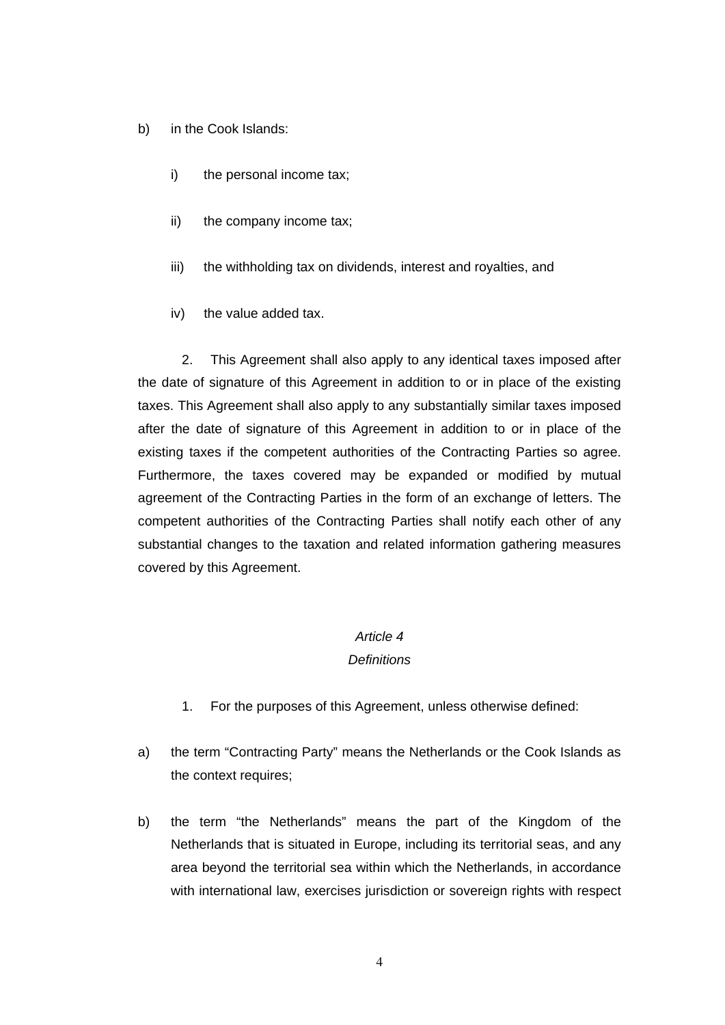- b) in the Cook Islands:
	- i) the personal income tax;
	- ii) the company income tax;
	- iii) the withholding tax on dividends, interest and royalties, and
	- iv) the value added tax.

2. This Agreement shall also apply to any identical taxes imposed after the date of signature of this Agreement in addition to or in place of the existing taxes. This Agreement shall also apply to any substantially similar taxes imposed after the date of signature of this Agreement in addition to or in place of the existing taxes if the competent authorities of the Contracting Parties so agree. Furthermore, the taxes covered may be expanded or modified by mutual agreement of the Contracting Parties in the form of an exchange of letters. The competent authorities of the Contracting Parties shall notify each other of any substantial changes to the taxation and related information gathering measures covered by this Agreement.

### *Article 4*

#### *Definitions*

- 1. For the purposes of this Agreement, unless otherwise defined:
- a) the term "Contracting Party" means the Netherlands or the Cook Islands as the context requires;
- b) the term "the Netherlands" means the part of the Kingdom of the Netherlands that is situated in Europe, including its territorial seas, and any area beyond the territorial sea within which the Netherlands, in accordance with international law, exercises jurisdiction or sovereign rights with respect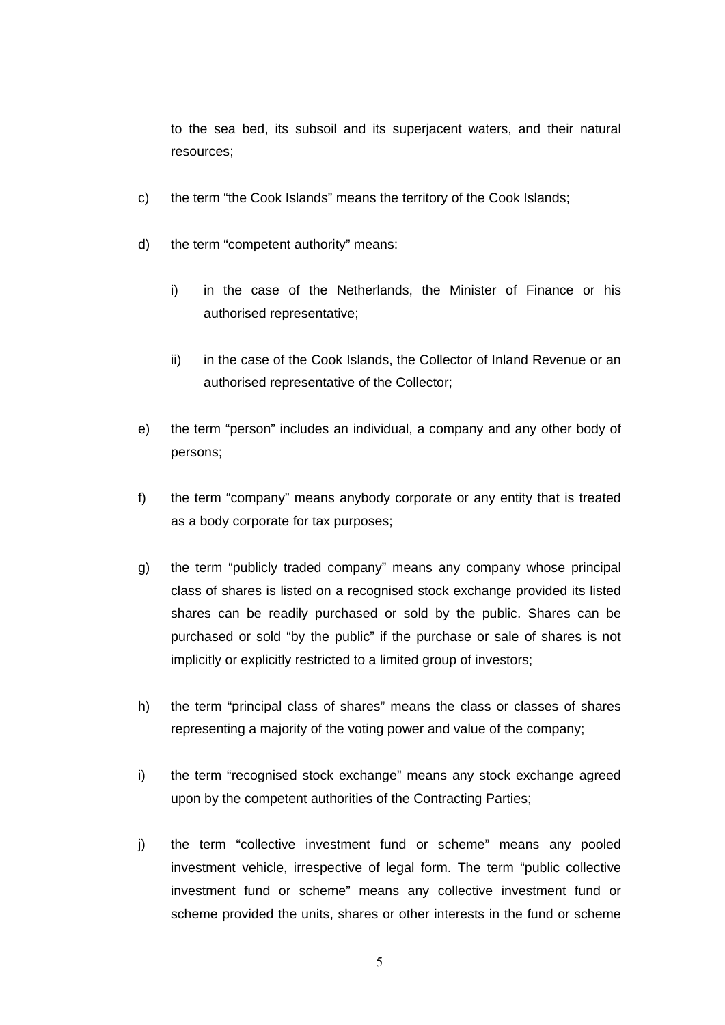to the sea bed, its subsoil and its superjacent waters, and their natural resources;

- c) the term "the Cook Islands" means the territory of the Cook Islands;
- d) the term "competent authority" means:
	- i) in the case of the Netherlands, the Minister of Finance or his authorised representative;
	- ii) in the case of the Cook Islands, the Collector of Inland Revenue or an authorised representative of the Collector;
- e) the term "person" includes an individual, a company and any other body of persons;
- f) the term "company" means anybody corporate or any entity that is treated as a body corporate for tax purposes;
- g) the term "publicly traded company" means any company whose principal class of shares is listed on a recognised stock exchange provided its listed shares can be readily purchased or sold by the public. Shares can be purchased or sold "by the public" if the purchase or sale of shares is not implicitly or explicitly restricted to a limited group of investors;
- h) the term "principal class of shares" means the class or classes of shares representing a majority of the voting power and value of the company;
- i) the term "recognised stock exchange" means any stock exchange agreed upon by the competent authorities of the Contracting Parties;
- j) the term "collective investment fund or scheme" means any pooled investment vehicle, irrespective of legal form. The term "public collective investment fund or scheme" means any collective investment fund or scheme provided the units, shares or other interests in the fund or scheme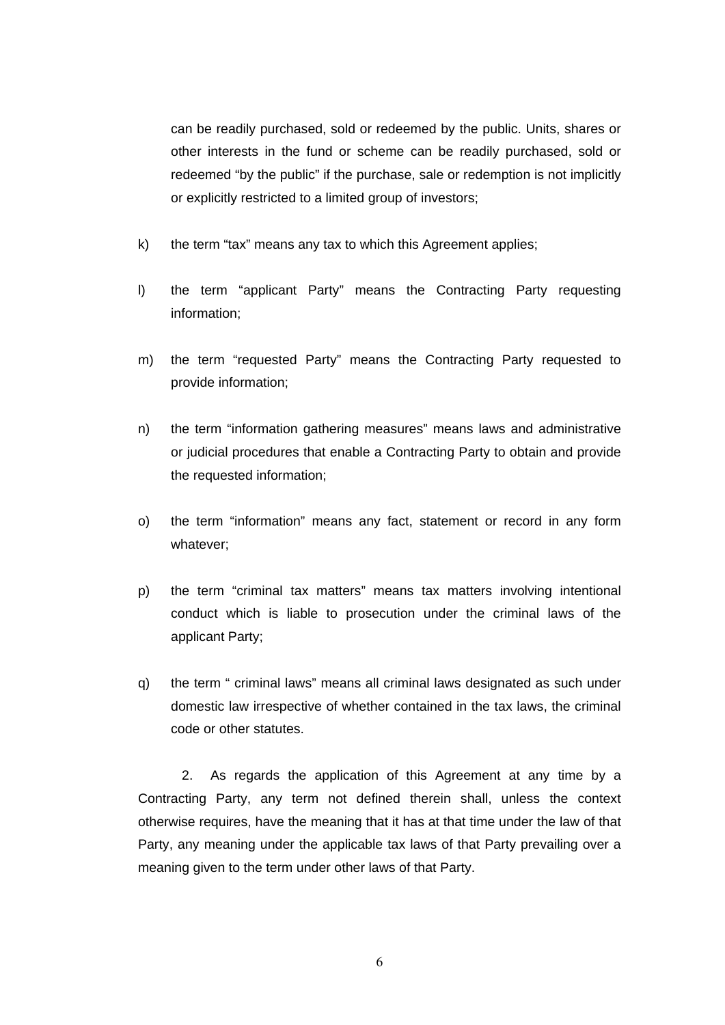can be readily purchased, sold or redeemed by the public. Units, shares or other interests in the fund or scheme can be readily purchased, sold or redeemed "by the public" if the purchase, sale or redemption is not implicitly or explicitly restricted to a limited group of investors;

- k) the term "tax" means any tax to which this Agreement applies;
- l) the term "applicant Party" means the Contracting Party requesting information;
- m) the term "requested Party" means the Contracting Party requested to provide information;
- n) the term "information gathering measures" means laws and administrative or judicial procedures that enable a Contracting Party to obtain and provide the requested information;
- o) the term "information" means any fact, statement or record in any form whatever;
- p) the term "criminal tax matters" means tax matters involving intentional conduct which is liable to prosecution under the criminal laws of the applicant Party;
- q) the term " criminal laws" means all criminal laws designated as such under domestic law irrespective of whether contained in the tax laws, the criminal code or other statutes.

2. As regards the application of this Agreement at any time by a Contracting Party, any term not defined therein shall, unless the context otherwise requires, have the meaning that it has at that time under the law of that Party, any meaning under the applicable tax laws of that Party prevailing over a meaning given to the term under other laws of that Party.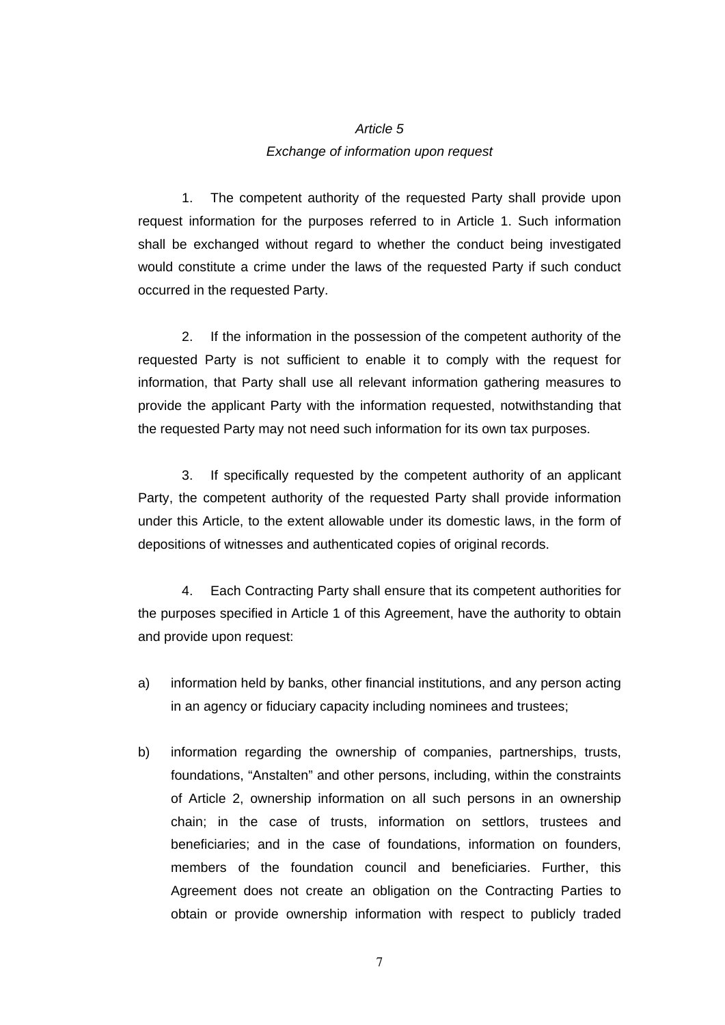## *Article 5 Exchange of information upon request*

1. The competent authority of the requested Party shall provide upon request information for the purposes referred to in Article 1. Such information shall be exchanged without regard to whether the conduct being investigated would constitute a crime under the laws of the requested Party if such conduct occurred in the requested Party.

2. If the information in the possession of the competent authority of the requested Party is not sufficient to enable it to comply with the request for information, that Party shall use all relevant information gathering measures to provide the applicant Party with the information requested, notwithstanding that the requested Party may not need such information for its own tax purposes.

3. If specifically requested by the competent authority of an applicant Party, the competent authority of the requested Party shall provide information under this Article, to the extent allowable under its domestic laws, in the form of depositions of witnesses and authenticated copies of original records.

4. Each Contracting Party shall ensure that its competent authorities for the purposes specified in Article 1 of this Agreement, have the authority to obtain and provide upon request:

- a) information held by banks, other financial institutions, and any person acting in an agency or fiduciary capacity including nominees and trustees;
- b) information regarding the ownership of companies, partnerships, trusts, foundations, "Anstalten" and other persons, including, within the constraints of Article 2, ownership information on all such persons in an ownership chain; in the case of trusts, information on settlors, trustees and beneficiaries; and in the case of foundations, information on founders, members of the foundation council and beneficiaries. Further, this Agreement does not create an obligation on the Contracting Parties to obtain or provide ownership information with respect to publicly traded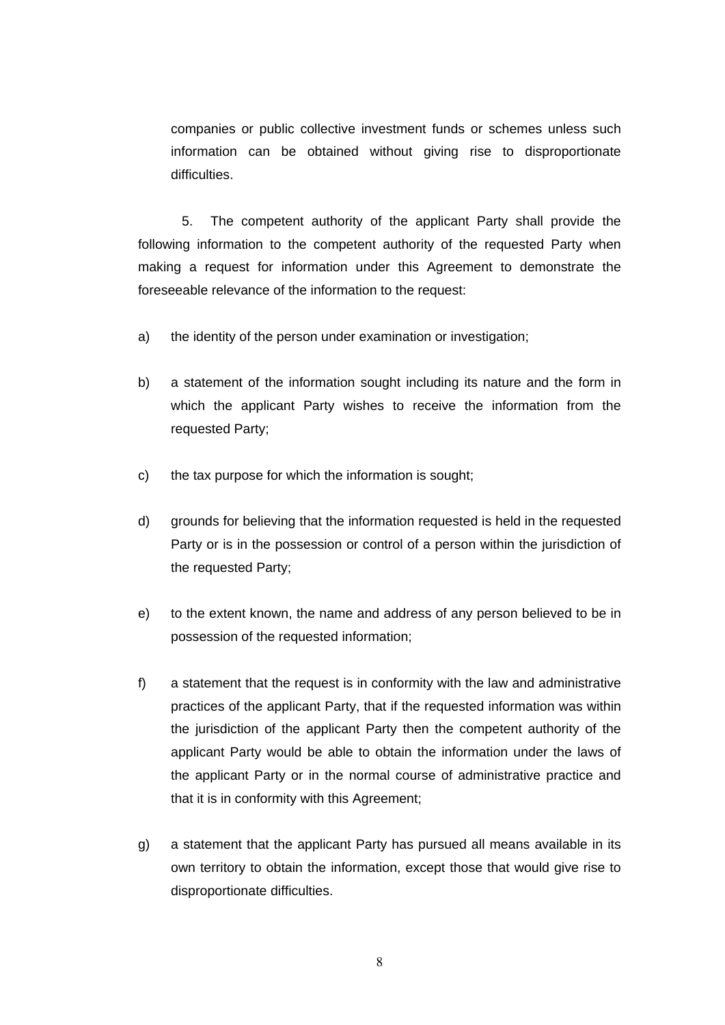companies or public collective investment funds or schemes unless such information can be obtained without giving rise to disproportionate difficulties.

5. The competent authority of the applicant Party shall provide the following information to the competent authority of the requested Party when making a request for information under this Agreement to demonstrate the foreseeable relevance of the information to the request:

- a) the identity of the person under examination or investigation;
- b) a statement of the information sought including its nature and the form in which the applicant Party wishes to receive the information from the requested Party;
- c) the tax purpose for which the information is sought;
- d) grounds for believing that the information requested is held in the requested Party or is in the possession or control of a person within the jurisdiction of the requested Party;
- e) to the extent known, the name and address of any person believed to be in possession of the requested information;
- f) a statement that the request is in conformity with the law and administrative practices of the applicant Party, that if the requested information was within the jurisdiction of the applicant Party then the competent authority of the applicant Party would be able to obtain the information under the laws of the applicant Party or in the normal course of administrative practice and that it is in conformity with this Agreement;
- g) a statement that the applicant Party has pursued all means available in its own territory to obtain the information, except those that would give rise to disproportionate difficulties.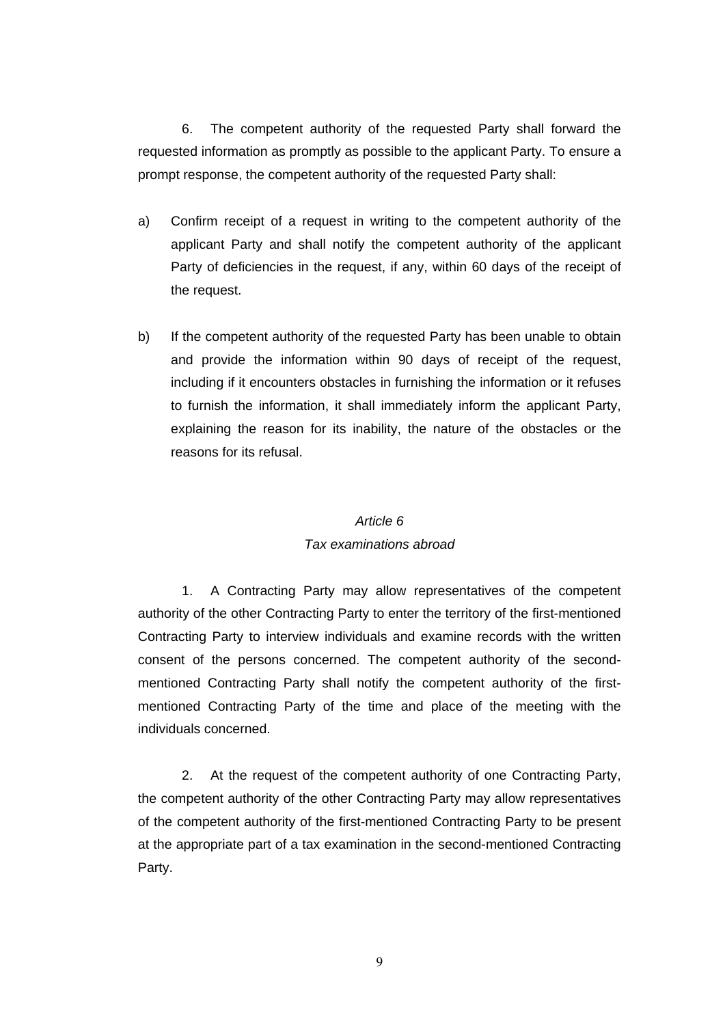6. The competent authority of the requested Party shall forward the requested information as promptly as possible to the applicant Party. To ensure a prompt response, the competent authority of the requested Party shall:

- a) Confirm receipt of a request in writing to the competent authority of the applicant Party and shall notify the competent authority of the applicant Party of deficiencies in the request, if any, within 60 days of the receipt of the request.
- b) If the competent authority of the requested Party has been unable to obtain and provide the information within 90 days of receipt of the request, including if it encounters obstacles in furnishing the information or it refuses to furnish the information, it shall immediately inform the applicant Party, explaining the reason for its inability, the nature of the obstacles or the reasons for its refusal.

#### *Article 6*

#### *Tax examinations abroad*

1. A Contracting Party may allow representatives of the competent authority of the other Contracting Party to enter the territory of the first-mentioned Contracting Party to interview individuals and examine records with the written consent of the persons concerned. The competent authority of the secondmentioned Contracting Party shall notify the competent authority of the firstmentioned Contracting Party of the time and place of the meeting with the individuals concerned.

2. At the request of the competent authority of one Contracting Party, the competent authority of the other Contracting Party may allow representatives of the competent authority of the first-mentioned Contracting Party to be present at the appropriate part of a tax examination in the second-mentioned Contracting Party.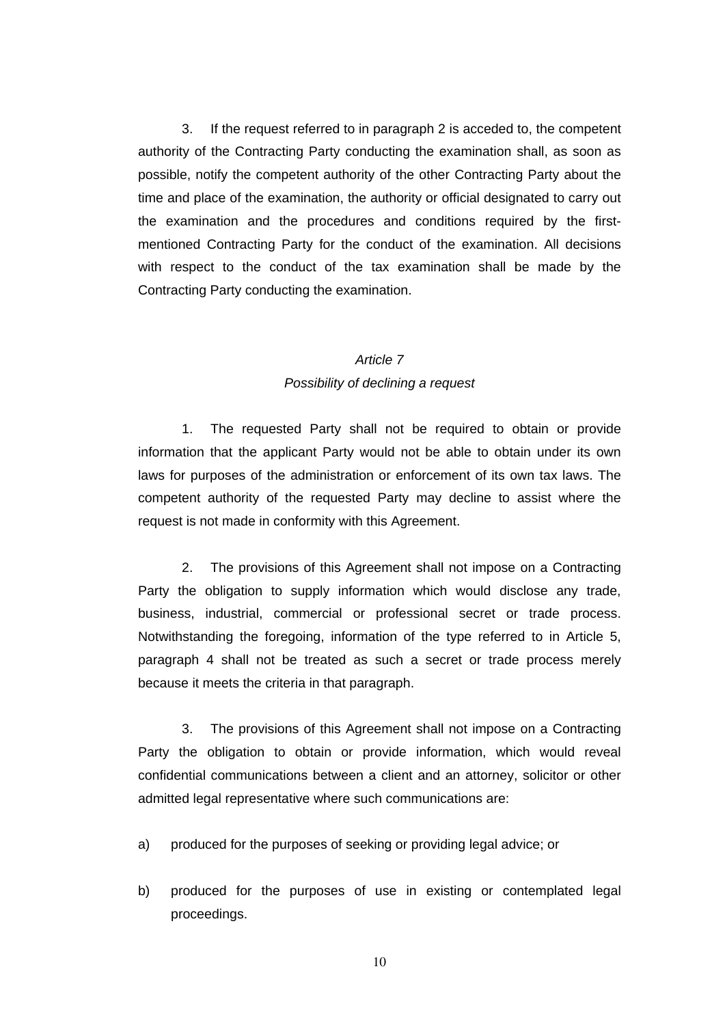3. If the request referred to in paragraph 2 is acceded to, the competent authority of the Contracting Party conducting the examination shall, as soon as possible, notify the competent authority of the other Contracting Party about the time and place of the examination, the authority or official designated to carry out the examination and the procedures and conditions required by the firstmentioned Contracting Party for the conduct of the examination. All decisions with respect to the conduct of the tax examination shall be made by the Contracting Party conducting the examination.

#### *Article 7*

#### *Possibility of declining a request*

1. The requested Party shall not be required to obtain or provide information that the applicant Party would not be able to obtain under its own laws for purposes of the administration or enforcement of its own tax laws. The competent authority of the requested Party may decline to assist where the request is not made in conformity with this Agreement.

2. The provisions of this Agreement shall not impose on a Contracting Party the obligation to supply information which would disclose any trade, business, industrial, commercial or professional secret or trade process. Notwithstanding the foregoing, information of the type referred to in Article 5, paragraph 4 shall not be treated as such a secret or trade process merely because it meets the criteria in that paragraph.

3. The provisions of this Agreement shall not impose on a Contracting Party the obligation to obtain or provide information, which would reveal confidential communications between a client and an attorney, solicitor or other admitted legal representative where such communications are:

- a) produced for the purposes of seeking or providing legal advice; or
- b) produced for the purposes of use in existing or contemplated legal proceedings.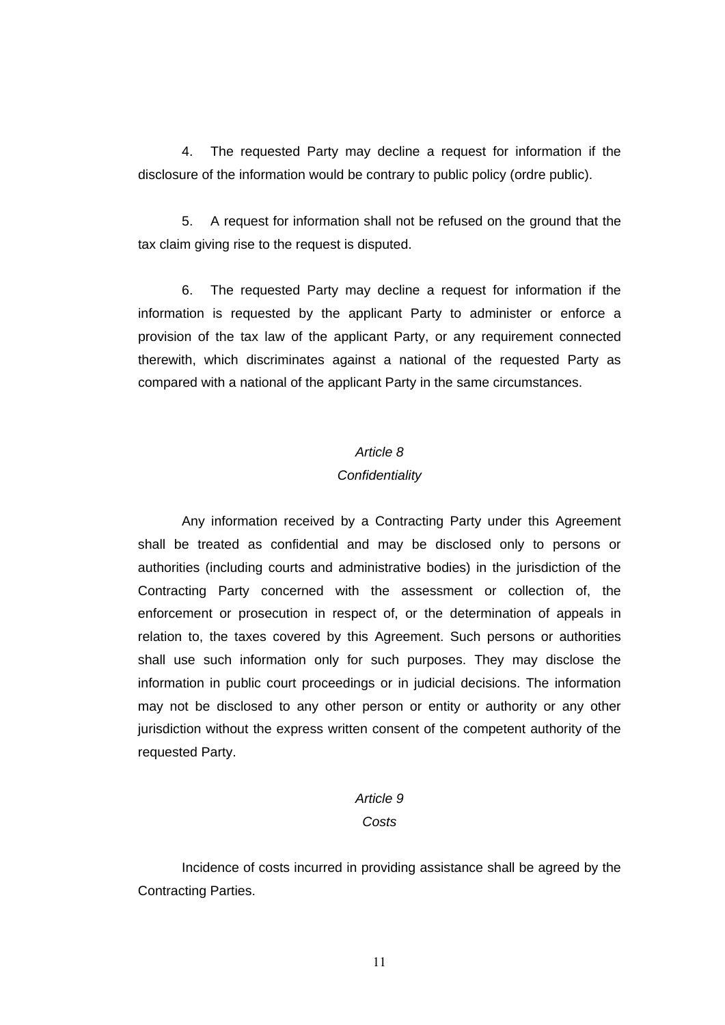4. The requested Party may decline a request for information if the disclosure of the information would be contrary to public policy (ordre public).

5. A request for information shall not be refused on the ground that the tax claim giving rise to the request is disputed.

6. The requested Party may decline a request for information if the information is requested by the applicant Party to administer or enforce a provision of the tax law of the applicant Party, or any requirement connected therewith, which discriminates against a national of the requested Party as compared with a national of the applicant Party in the same circumstances.

#### *Article 8*

#### *Confidentiality*

Any information received by a Contracting Party under this Agreement shall be treated as confidential and may be disclosed only to persons or authorities (including courts and administrative bodies) in the jurisdiction of the Contracting Party concerned with the assessment or collection of, the enforcement or prosecution in respect of, or the determination of appeals in relation to, the taxes covered by this Agreement. Such persons or authorities shall use such information only for such purposes. They may disclose the information in public court proceedings or in judicial decisions. The information may not be disclosed to any other person or entity or authority or any other jurisdiction without the express written consent of the competent authority of the requested Party.

## *Article 9*

### *Costs*

Incidence of costs incurred in providing assistance shall be agreed by the Contracting Parties.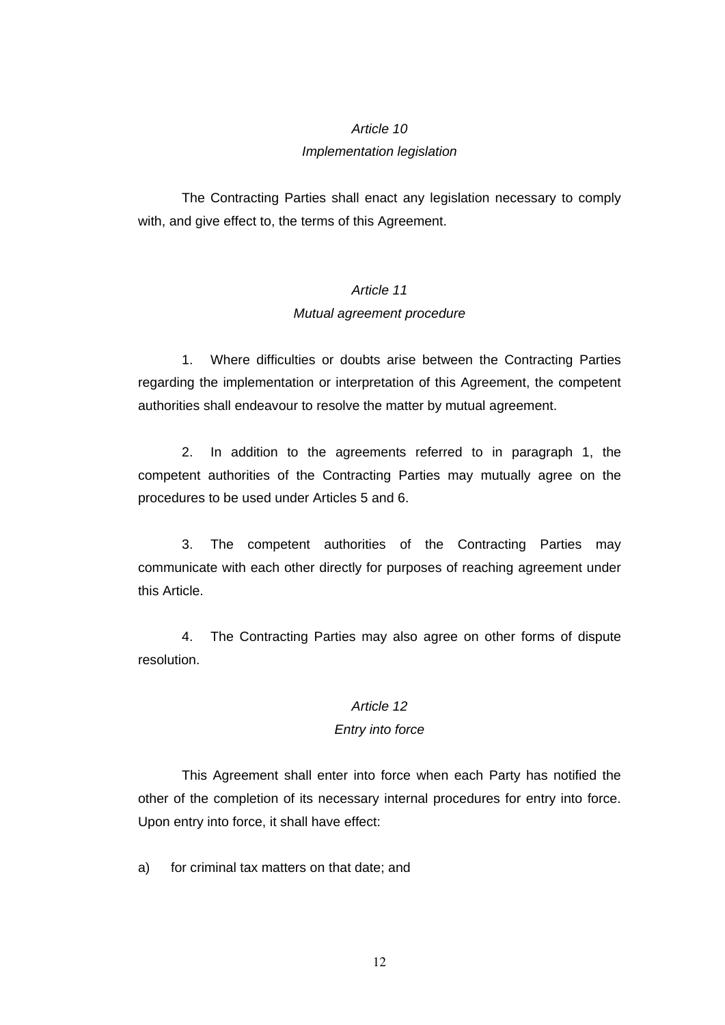#### *Article 10*

#### *Implementation legislation*

The Contracting Parties shall enact any legislation necessary to comply with, and give effect to, the terms of this Agreement.

## *Article 11 Mutual agreement procedure*

1. Where difficulties or doubts arise between the Contracting Parties regarding the implementation or interpretation of this Agreement, the competent authorities shall endeavour to resolve the matter by mutual agreement.

2. In addition to the agreements referred to in paragraph 1, the competent authorities of the Contracting Parties may mutually agree on the procedures to be used under Articles 5 and 6.

3. The competent authorities of the Contracting Parties may communicate with each other directly for purposes of reaching agreement under this Article.

4. The Contracting Parties may also agree on other forms of dispute resolution.

### *Article 12*

#### *Entry into force*

This Agreement shall enter into force when each Party has notified the other of the completion of its necessary internal procedures for entry into force. Upon entry into force, it shall have effect:

a) for criminal tax matters on that date; and